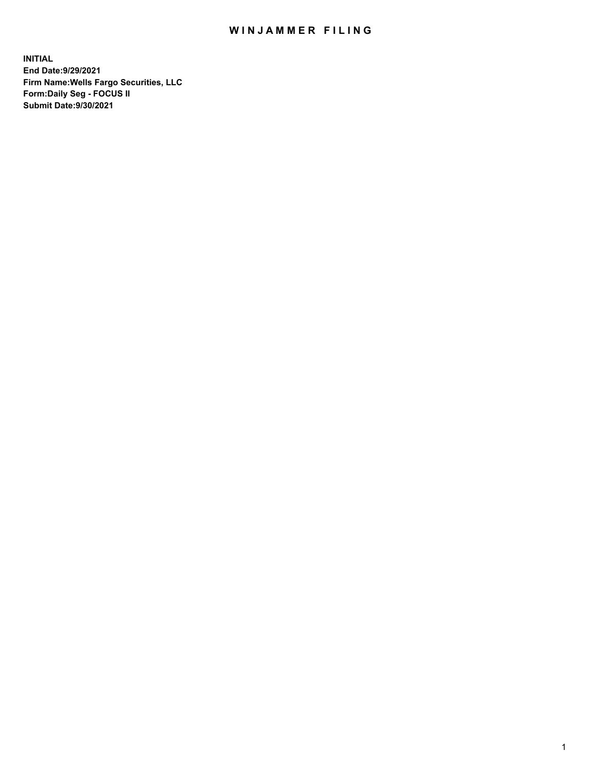## WIN JAMMER FILING

**INITIAL End Date:9/29/2021 Firm Name:Wells Fargo Securities, LLC Form:Daily Seg - FOCUS II Submit Date:9/30/2021**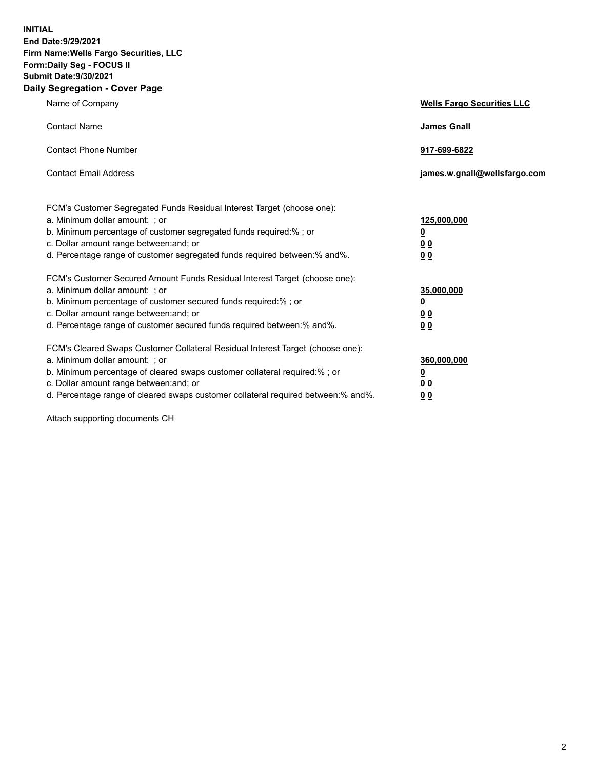**INITIAL End Date:9/29/2021 Firm Name:Wells Fargo Securities, LLC Form:Daily Seg - FOCUS II Submit Date:9/30/2021 Daily Segregation - Cover Page**

| Name of Company                                                                                                                                                                                                                                                                                                               | <b>Wells Fargo Securities LLC</b>                          |
|-------------------------------------------------------------------------------------------------------------------------------------------------------------------------------------------------------------------------------------------------------------------------------------------------------------------------------|------------------------------------------------------------|
| <b>Contact Name</b>                                                                                                                                                                                                                                                                                                           | <b>James Gnall</b>                                         |
| <b>Contact Phone Number</b>                                                                                                                                                                                                                                                                                                   | 917-699-6822                                               |
| <b>Contact Email Address</b>                                                                                                                                                                                                                                                                                                  | james.w.gnall@wellsfargo.com                               |
| FCM's Customer Segregated Funds Residual Interest Target (choose one):<br>a. Minimum dollar amount: ; or<br>b. Minimum percentage of customer segregated funds required:% ; or<br>c. Dollar amount range between: and; or<br>d. Percentage range of customer segregated funds required between:% and%.                        | 125,000,000<br><u>0</u><br>0 <sub>0</sub><br>00            |
| FCM's Customer Secured Amount Funds Residual Interest Target (choose one):<br>a. Minimum dollar amount: ; or<br>b. Minimum percentage of customer secured funds required:%; or<br>c. Dollar amount range between: and; or<br>d. Percentage range of customer secured funds required between:% and%.                           | 35,000,000<br><u>0</u><br>0 <sub>0</sub><br>0 <sub>0</sub> |
| FCM's Cleared Swaps Customer Collateral Residual Interest Target (choose one):<br>a. Minimum dollar amount: ; or<br>b. Minimum percentage of cleared swaps customer collateral required:%; or<br>c. Dollar amount range between: and; or<br>d. Percentage range of cleared swaps customer collateral required between:% and%. | 360,000,000<br><u>0</u><br>0 Q<br>00                       |

Attach supporting documents CH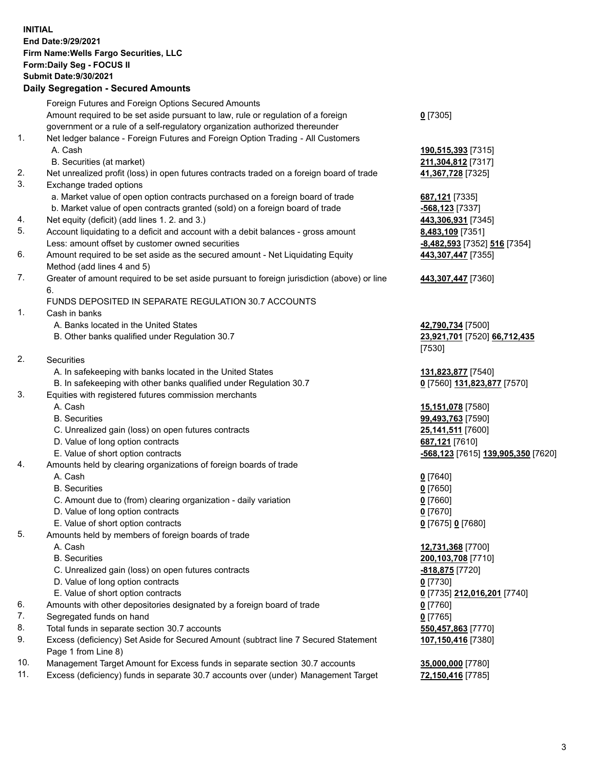**INITIAL End Date:9/29/2021 Firm Name:Wells Fargo Securities, LLC Form:Daily Seg - FOCUS II Submit Date:9/30/2021**

## **Daily Segregation - Secured Amounts**

|     | Foreign Futures and Foreign Options Secured Amounts                                                        |                                    |
|-----|------------------------------------------------------------------------------------------------------------|------------------------------------|
|     | Amount required to be set aside pursuant to law, rule or regulation of a foreign                           | $0$ [7305]                         |
|     | government or a rule of a self-regulatory organization authorized thereunder                               |                                    |
| 1.  | Net ledger balance - Foreign Futures and Foreign Option Trading - All Customers                            |                                    |
|     | A. Cash                                                                                                    | 190,515,393 [7315]                 |
|     | B. Securities (at market)                                                                                  | 211,304,812 [7317]                 |
| 2.  | Net unrealized profit (loss) in open futures contracts traded on a foreign board of trade                  | 41,367,728 [7325]                  |
| 3.  | Exchange traded options                                                                                    |                                    |
|     | a. Market value of open option contracts purchased on a foreign board of trade                             | 687,121 [7335]                     |
|     | b. Market value of open contracts granted (sold) on a foreign board of trade                               | -568,123 [7337]                    |
| 4.  | Net equity (deficit) (add lines 1. 2. and 3.)                                                              | 443,306,931 [7345]                 |
| 5.  | Account liquidating to a deficit and account with a debit balances - gross amount                          | 8,483,109 [7351]                   |
|     | Less: amount offset by customer owned securities                                                           | -8,482,593 [7352] 516 [7354]       |
| 6.  | Amount required to be set aside as the secured amount - Net Liquidating Equity                             | 443,307,447 [7355]                 |
|     | Method (add lines 4 and 5)                                                                                 |                                    |
| 7.  | Greater of amount required to be set aside pursuant to foreign jurisdiction (above) or line                | 443,307,447 [7360]                 |
|     | 6.                                                                                                         |                                    |
|     | FUNDS DEPOSITED IN SEPARATE REGULATION 30.7 ACCOUNTS                                                       |                                    |
| 1.  | Cash in banks                                                                                              |                                    |
|     | A. Banks located in the United States                                                                      | 42,790,734 [7500]                  |
|     | B. Other banks qualified under Regulation 30.7                                                             | 23,921,701 [7520] 66,712,435       |
|     |                                                                                                            | [7530]                             |
| 2.  | <b>Securities</b>                                                                                          |                                    |
|     | A. In safekeeping with banks located in the United States                                                  | 131,823,877 [7540]                 |
|     | B. In safekeeping with other banks qualified under Regulation 30.7                                         | 0 [7560] 131,823,877 [7570]        |
| 3.  | Equities with registered futures commission merchants                                                      |                                    |
|     | A. Cash                                                                                                    | 15,151,078 [7580]                  |
|     | <b>B.</b> Securities                                                                                       | 99,493,763 [7590]                  |
|     | C. Unrealized gain (loss) on open futures contracts                                                        | 25,141,511 [7600]                  |
|     | D. Value of long option contracts                                                                          | 687,121 [7610]                     |
|     | E. Value of short option contracts                                                                         | -568,123 [7615] 139,905,350 [7620] |
| 4.  | Amounts held by clearing organizations of foreign boards of trade                                          |                                    |
|     | A. Cash                                                                                                    | $0$ [7640]                         |
|     | <b>B.</b> Securities                                                                                       | $0$ [7650]                         |
|     | C. Amount due to (from) clearing organization - daily variation                                            | $0$ [7660]                         |
|     | D. Value of long option contracts                                                                          | $0$ [7670]                         |
|     | E. Value of short option contracts                                                                         | 0 [7675] 0 [7680]                  |
| 5.  | Amounts held by members of foreign boards of trade                                                         |                                    |
|     | A. Cash                                                                                                    | 12,731,368 [7700]                  |
|     | <b>B.</b> Securities                                                                                       | 200,103,708 [7710]                 |
|     | C. Unrealized gain (loss) on open futures contracts                                                        | <u>-818,875</u> [7720]             |
|     | D. Value of long option contracts                                                                          | $0$ [7730]                         |
|     | E. Value of short option contracts                                                                         | 0 [7735] 212,016,201 [7740]        |
| 6.  | Amounts with other depositories designated by a foreign board of trade                                     | $0$ [7760]                         |
| 7.  | Segregated funds on hand                                                                                   | $0$ [7765]                         |
| 8.  | Total funds in separate section 30.7 accounts                                                              | 550,457,863 [7770]                 |
| 9.  | Excess (deficiency) Set Aside for Secured Amount (subtract line 7 Secured Statement<br>Page 1 from Line 8) | 107,150,416 [7380]                 |
| 10. | Management Target Amount for Excess funds in separate section 30.7 accounts                                | 35,000,000 [7780]                  |

11. Excess (deficiency) funds in separate 30.7 accounts over (under) Management Target **72,150,416** [7785]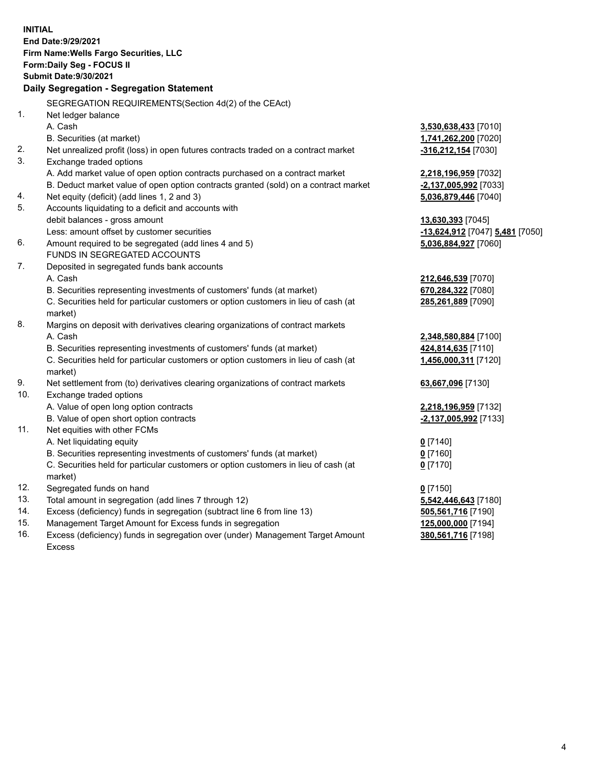**INITIAL End Date:9/29/2021 Firm Name:Wells Fargo Securities, LLC Form:Daily Seg - FOCUS II Submit Date:9/30/2021 Daily Segregation - Segregation Statement** SEGREGATION REQUIREMENTS(Section 4d(2) of the CEAct) 1. Net ledger balance A. Cash **3,530,638,433** [7010] B. Securities (at market) **1,741,262,200** [7020] 2. Net unrealized profit (loss) in open futures contracts traded on a contract market **-316,212,154** [7030] 3. Exchange traded options A. Add market value of open option contracts purchased on a contract market **2,218,196,959** [7032] B. Deduct market value of open option contracts granted (sold) on a contract market **-2,137,005,992** [7033] 4. Net equity (deficit) (add lines 1, 2 and 3) **5,036,879,446** [7040] 5. Accounts liquidating to a deficit and accounts with debit balances - gross amount **13,630,393** [7045] Less: amount offset by customer securities **-13,624,912** [7047] **5,481** [7050] 6. Amount required to be segregated (add lines 4 and 5) **5,036,884,927** [7060] FUNDS IN SEGREGATED ACCOUNTS 7. Deposited in segregated funds bank accounts A. Cash **212,646,539** [7070] B. Securities representing investments of customers' funds (at market) **670,284,322** [7080] C. Securities held for particular customers or option customers in lieu of cash (at market) **285,261,889** [7090] 8. Margins on deposit with derivatives clearing organizations of contract markets A. Cash **2,348,580,884** [7100] B. Securities representing investments of customers' funds (at market) **424,814,635** [7110] C. Securities held for particular customers or option customers in lieu of cash (at market) **1,456,000,311** [7120] 9. Net settlement from (to) derivatives clearing organizations of contract markets **63,667,096** [7130] 10. Exchange traded options A. Value of open long option contracts **2,218,196,959** [7132] B. Value of open short option contracts **-2,137,005,992** [7133] 11. Net equities with other FCMs A. Net liquidating equity **0** [7140] B. Securities representing investments of customers' funds (at market) **0** [7160] C. Securities held for particular customers or option customers in lieu of cash (at market) **0** [7170] 12. Segregated funds on hand **0** [7150] 13. Total amount in segregation (add lines 7 through 12) **5,542,446,643** [7180] 14. Excess (deficiency) funds in segregation (subtract line 6 from line 13) **505,561,716** [7190] 15. Management Target Amount for Excess funds in segregation **125,000,000** [7194] **380,561,716** [7198]

16. Excess (deficiency) funds in segregation over (under) Management Target Amount Excess